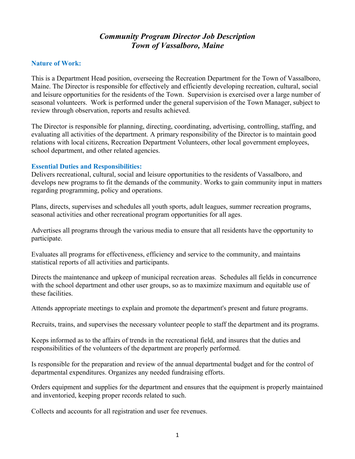# *Community Program Director Job Description Town of Vassalboro, Maine*

### **Nature of Work:**

This is a Department Head position, overseeing the Recreation Department for the Town of Vassalboro, Maine. The Director is responsible for effectively and efficiently developing recreation, cultural, social and leisure opportunities for the residents of the Town. Supervision is exercised over a large number of seasonal volunteers. Work is performed under the general supervision of the Town Manager, subject to review through observation, reports and results achieved.

The Director is responsible for planning, directing, coordinating, advertising, controlling, staffing, and evaluating all activities of the department. A primary responsibility of the Director is to maintain good relations with local citizens, Recreation Department Volunteers, other local government employees, school department, and other related agencies.

#### **Essential Duties and Responsibilities:**

Delivers recreational, cultural, social and leisure opportunities to the residents of Vassalboro, and develops new programs to fit the demands of the community. Works to gain community input in matters regarding programming, policy and operations.

Plans, directs, supervises and schedules all youth sports, adult leagues, summer recreation programs, seasonal activities and other recreational program opportunities for all ages.

Advertises all programs through the various media to ensure that all residents have the opportunity to participate.

Evaluates all programs for effectiveness, efficiency and service to the community, and maintains statistical reports of all activities and participants.

Directs the maintenance and upkeep of municipal recreation areas. Schedules all fields in concurrence with the school department and other user groups, so as to maximize maximum and equitable use of these facilities.

Attends appropriate meetings to explain and promote the department's present and future programs.

Recruits, trains, and supervises the necessary volunteer people to staff the department and its programs.

Keeps informed as to the affairs of trends in the recreational field, and insures that the duties and responsibilities of the volunteers of the department are properly performed.

Is responsible for the preparation and review of the annual departmental budget and for the control of departmental expenditures. Organizes any needed fundraising efforts.

Orders equipment and supplies for the department and ensures that the equipment is properly maintained and inventoried, keeping proper records related to such.

Collects and accounts for all registration and user fee revenues.